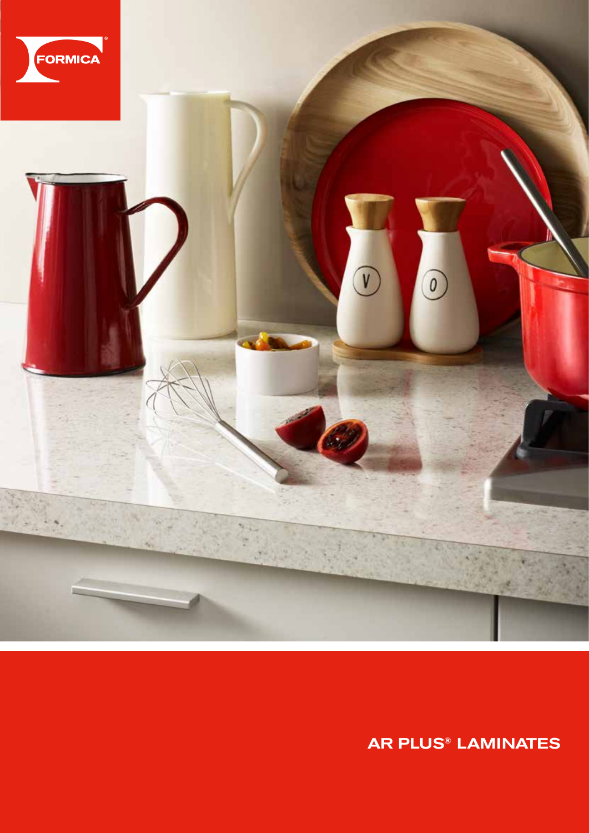

AR Plus**®** LAMINATES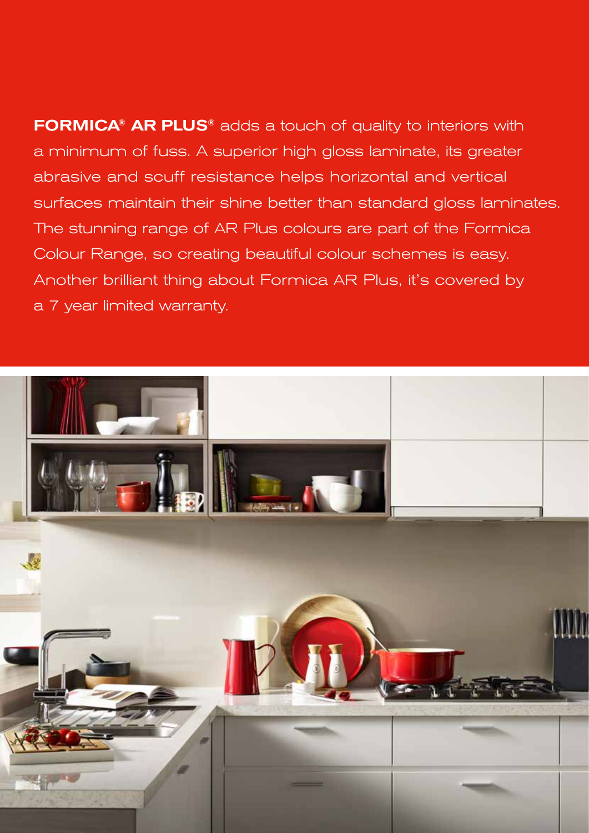FORMICA**®** AR PLUS**®** adds a touch of quality to interiors with a minimum of fuss. A superior high gloss laminate, its greater abrasive and scuff resistance helps horizontal and vertical surfaces maintain their shine better than standard gloss laminates. The stunning range of AR Plus colours are part of the Formica Colour Range, so creating beautiful colour schemes is easy. Another brilliant thing about Formica AR Plus, it's covered by a 7 year limited warranty.

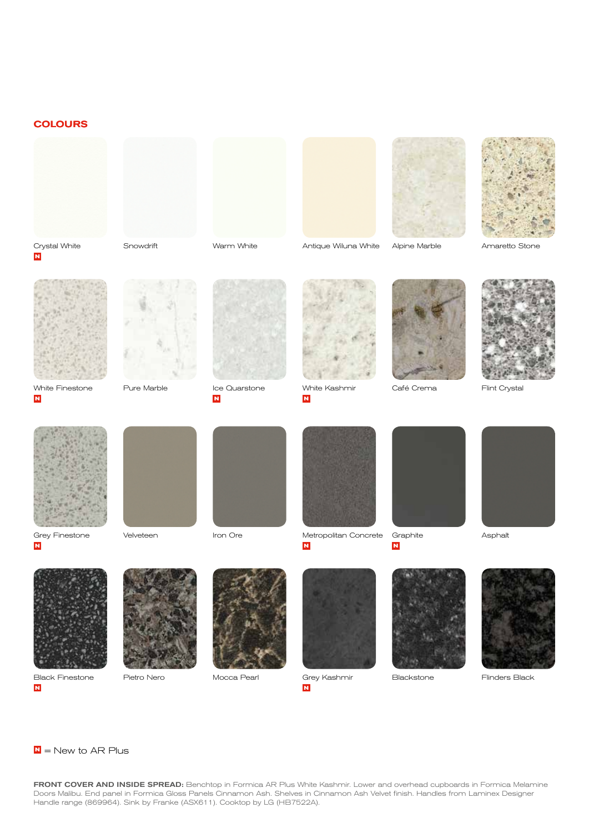## **COLOURS**





Snowdrift Warm White Alpine Marble Amaretto Stone Antique Wiluna White







White Finestone

**N**

**N**



Pure Marble **International** Ice Quarstone



**N**



White Kashmir **N**



Café Crema



Flint Crystal



Grey Finestone

**N**

**N**



Velveteen





Iron Ore Metropolitan Concrete Graphite Asphalt **N**



**N**







Pietro Nero





Grey Kashmir **N** Mocca Pearl **Blackstone Blackstone** Flinders Black







FRONT COVER AND INSIDE SPREAD: Benchtop in Formica AR Plus White Kashmir. Lower and overhead cupboards in Formica Melamine Doors Malibu. End panel in Formica Gloss Panels Cinnamon Ash. Shelves in Cinnamon Ash Velvet finish. Handles from Laminex Designer Handle range (869964). Sink by Franke (ASX611). Cooktop by LG (HB7522A).